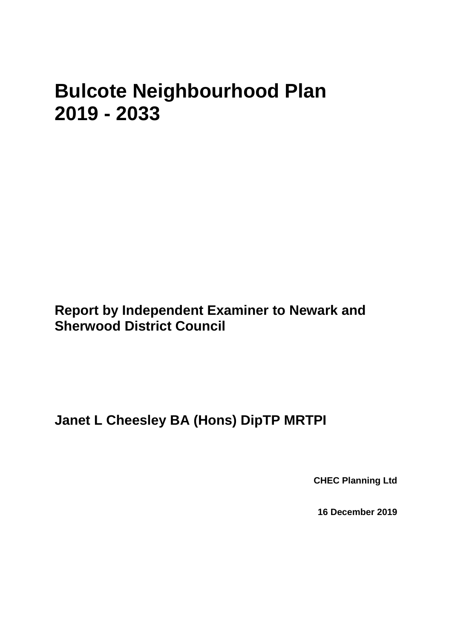# **Bulcote Neighbourhood Plan 2019 - 2033**

**Report by Independent Examiner to Newark and Sherwood District Council**

**Janet L Cheesley BA (Hons) DipTP MRTPI**

**CHEC Planning Ltd**

**16 December 2019**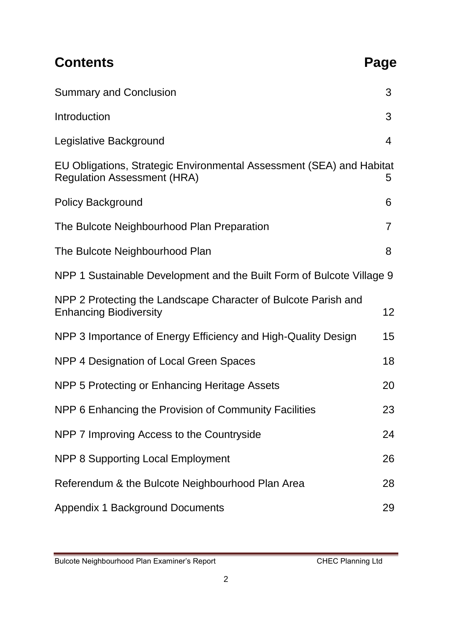| <b>Contents</b>                                                                                            | Page            |
|------------------------------------------------------------------------------------------------------------|-----------------|
| <b>Summary and Conclusion</b>                                                                              | 3               |
| Introduction                                                                                               | 3               |
| Legislative Background                                                                                     | 4               |
| EU Obligations, Strategic Environmental Assessment (SEA) and Habitat<br><b>Regulation Assessment (HRA)</b> | 5               |
| <b>Policy Background</b>                                                                                   | 6               |
| The Bulcote Neighbourhood Plan Preparation                                                                 | 7               |
| The Bulcote Neighbourhood Plan                                                                             | 8               |
| NPP 1 Sustainable Development and the Built Form of Bulcote Village 9                                      |                 |
| NPP 2 Protecting the Landscape Character of Bulcote Parish and<br><b>Enhancing Biodiversity</b>            | 12 <sub>2</sub> |
| NPP 3 Importance of Energy Efficiency and High-Quality Design                                              | 15              |
| NPP 4 Designation of Local Green Spaces                                                                    | 18              |
| NPP 5 Protecting or Enhancing Heritage Assets                                                              | 20              |
| NPP 6 Enhancing the Provision of Community Facilities                                                      | 23              |
| NPP 7 Improving Access to the Countryside                                                                  | 24              |
| NPP 8 Supporting Local Employment                                                                          | 26              |
| Referendum & the Bulcote Neighbourhood Plan Area                                                           | 28              |
| <b>Appendix 1 Background Documents</b>                                                                     | 29              |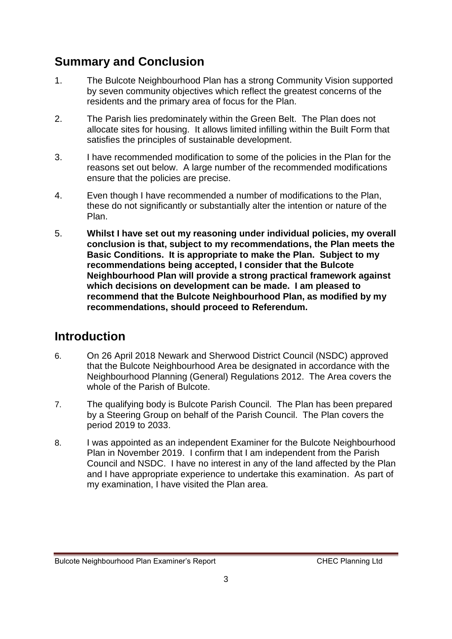# **Summary and Conclusion**

- 1. The Bulcote Neighbourhood Plan has a strong Community Vision supported by seven community objectives which reflect the greatest concerns of the residents and the primary area of focus for the Plan.
- 2. The Parish lies predominately within the Green Belt. The Plan does not allocate sites for housing. It allows limited infilling within the Built Form that satisfies the principles of sustainable development.
- 3. I have recommended modification to some of the policies in the Plan for the reasons set out below. A large number of the recommended modifications ensure that the policies are precise.
- 4. Even though I have recommended a number of modifications to the Plan, these do not significantly or substantially alter the intention or nature of the Plan.
- 5. **Whilst I have set out my reasoning under individual policies, my overall conclusion is that, subject to my recommendations, the Plan meets the Basic Conditions. It is appropriate to make the Plan. Subject to my recommendations being accepted, I consider that the Bulcote Neighbourhood Plan will provide a strong practical framework against which decisions on development can be made. I am pleased to recommend that the Bulcote Neighbourhood Plan, as modified by my recommendations, should proceed to Referendum.**

# **Introduction**

- 6. On 26 April 2018 Newark and Sherwood District Council (NSDC) approved that the Bulcote Neighbourhood Area be designated in accordance with the Neighbourhood Planning (General) Regulations 2012. The Area covers the whole of the Parish of Bulcote.
- 7. The qualifying body is Bulcote Parish Council. The Plan has been prepared by a Steering Group on behalf of the Parish Council. The Plan covers the period 2019 to 2033.
- 8. I was appointed as an independent Examiner for the Bulcote Neighbourhood Plan in November 2019. I confirm that I am independent from the Parish Council and NSDC. I have no interest in any of the land affected by the Plan and I have appropriate experience to undertake this examination. As part of my examination, I have visited the Plan area.

Bulcote Neighbourhood Plan Examiner's Report CHEC Planning Ltd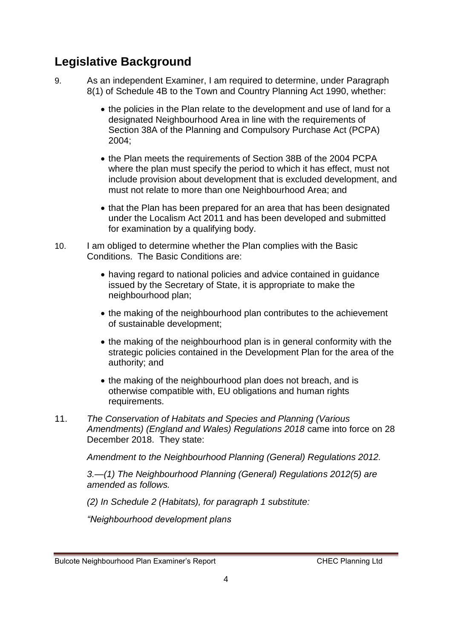### **Legislative Background**

- 9. As an independent Examiner, I am required to determine, under Paragraph 8(1) of Schedule 4B to the Town and Country Planning Act 1990, whether:
	- the policies in the Plan relate to the development and use of land for a designated Neighbourhood Area in line with the requirements of Section 38A of the Planning and Compulsory Purchase Act (PCPA) 2004;
	- the Plan meets the requirements of Section 38B of the 2004 PCPA where the plan must specify the period to which it has effect, must not include provision about development that is excluded development, and must not relate to more than one Neighbourhood Area; and
	- that the Plan has been prepared for an area that has been designated under the Localism Act 2011 and has been developed and submitted for examination by a qualifying body.
- 10. I am obliged to determine whether the Plan complies with the Basic Conditions. The Basic Conditions are:
	- having regard to national policies and advice contained in guidance issued by the Secretary of State, it is appropriate to make the neighbourhood plan;
	- the making of the neighbourhood plan contributes to the achievement of sustainable development;
	- the making of the neighbourhood plan is in general conformity with the strategic policies contained in the Development Plan for the area of the authority; and
	- the making of the neighbourhood plan does not breach, and is otherwise compatible with, EU obligations and human rights requirements.
- 11. *The Conservation of Habitats and Species and Planning (Various Amendments) (England and Wales) Regulations 2018* came into force on 28 December 2018. They state:

*Amendment to the Neighbourhood Planning (General) Regulations 2012.* 

*3.—(1) The Neighbourhood Planning (General) Regulations 2012(5) are amended as follows.* 

*(2) In Schedule 2 (Habitats), for paragraph 1 substitute:* 

*"Neighbourhood development plans*

Bulcote Neighbourhood Plan Examiner's Report CHEC Planning Ltd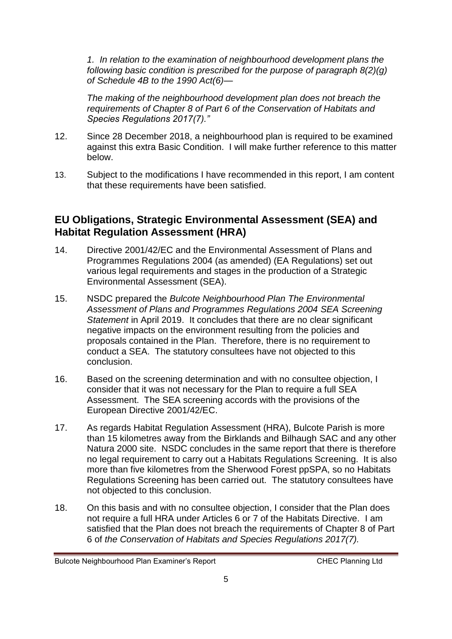*1. In relation to the examination of neighbourhood development plans the following basic condition is prescribed for the purpose of paragraph 8(2)(g) of Schedule 4B to the 1990 Act(6)—*

*The making of the neighbourhood development plan does not breach the requirements of Chapter 8 of Part 6 of the Conservation of Habitats and Species Regulations 2017(7)."*

- 12. Since 28 December 2018, a neighbourhood plan is required to be examined against this extra Basic Condition. I will make further reference to this matter below.
- 13. Subject to the modifications I have recommended in this report, I am content that these requirements have been satisfied.

#### **EU Obligations, Strategic Environmental Assessment (SEA) and Habitat Regulation Assessment (HRA)**

- 14. Directive 2001/42/EC and the Environmental Assessment of Plans and Programmes Regulations 2004 (as amended) (EA Regulations) set out various legal requirements and stages in the production of a Strategic Environmental Assessment (SEA).
- 15. NSDC prepared the *Bulcote Neighbourhood Plan The Environmental Assessment of Plans and Programmes Regulations 2004 SEA Screening Statement* in April 2019. It concludes that there are no clear significant negative impacts on the environment resulting from the policies and proposals contained in the Plan. Therefore, there is no requirement to conduct a SEA. The statutory consultees have not objected to this conclusion.
- 16. Based on the screening determination and with no consultee objection, I consider that it was not necessary for the Plan to require a full SEA Assessment. The SEA screening accords with the provisions of the European Directive 2001/42/EC.
- 17. As regards Habitat Regulation Assessment (HRA), Bulcote Parish is more than 15 kilometres away from the Birklands and Bilhaugh SAC and any other Natura 2000 site. NSDC concludes in the same report that there is therefore no legal requirement to carry out a Habitats Regulations Screening. It is also more than five kilometres from the Sherwood Forest ppSPA, so no Habitats Regulations Screening has been carried out. The statutory consultees have not objected to this conclusion.
- 18. On this basis and with no consultee objection, I consider that the Plan does not require a full HRA under Articles 6 or 7 of the Habitats Directive. I am satisfied that the Plan does not breach the requirements of Chapter 8 of Part 6 of *the Conservation of Habitats and Species Regulations 2017(7).*

Bulcote Neighbourhood Plan Examiner's Report CHEC Planning Ltd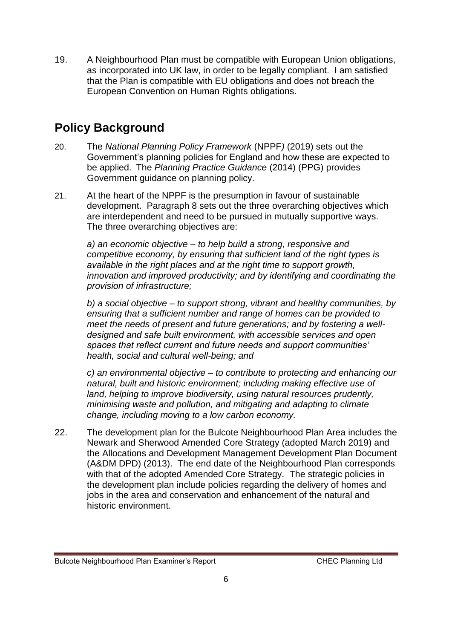19. A Neighbourhood Plan must be compatible with European Union obligations, as incorporated into UK law, in order to be legally compliant. I am satisfied that the Plan is compatible with EU obligations and does not breach the European Convention on Human Rights obligations.

# **Policy Background**

- 20. The *National Planning Policy Framework* (NPPF*)* (2019) sets out the Government's planning policies for England and how these are expected to be applied. The *Planning Practice Guidance* (2014) (PPG) provides Government guidance on planning policy.
- 21. At the heart of the NPPF is the presumption in favour of sustainable development. Paragraph 8 sets out the three overarching objectives which are interdependent and need to be pursued in mutually supportive ways. The three overarching objectives are:

*a) an economic objective – to help build a strong, responsive and competitive economy, by ensuring that sufficient land of the right types is available in the right places and at the right time to support growth, innovation and improved productivity; and by identifying and coordinating the provision of infrastructure;*

*b) a social objective – to support strong, vibrant and healthy communities, by ensuring that a sufficient number and range of homes can be provided to meet the needs of present and future generations; and by fostering a welldesigned and safe built environment, with accessible services and open spaces that reflect current and future needs and support communities' health, social and cultural well-being; and*

*c) an environmental objective – to contribute to protecting and enhancing our natural, built and historic environment; including making effective use of land, helping to improve biodiversity, using natural resources prudently, minimising waste and pollution, and mitigating and adapting to climate change, including moving to a low carbon economy.*

22. The development plan for the Bulcote Neighbourhood Plan Area includes the Newark and Sherwood Amended Core Strategy (adopted March 2019) and the Allocations and Development Management Development Plan Document (A&DM DPD) (2013). The end date of the Neighbourhood Plan corresponds with that of the adopted Amended Core Strategy. The strategic policies in the development plan include policies regarding the delivery of homes and jobs in the area and conservation and enhancement of the natural and historic environment.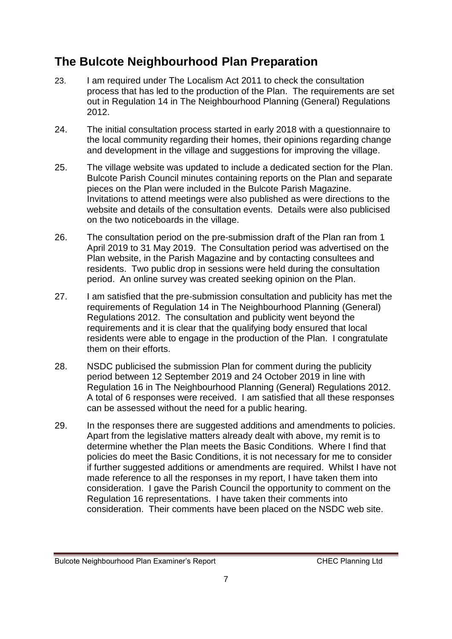### **The Bulcote Neighbourhood Plan Preparation**

- 23. I am required under The Localism Act 2011 to check the consultation process that has led to the production of the Plan. The requirements are set out in Regulation 14 in The Neighbourhood Planning (General) Regulations 2012.
- 24. The initial consultation process started in early 2018 with a questionnaire to the local community regarding their homes, their opinions regarding change and development in the village and suggestions for improving the village.
- 25. The village website was updated to include a dedicated section for the Plan. Bulcote Parish Council minutes containing reports on the Plan and separate pieces on the Plan were included in the Bulcote Parish Magazine. Invitations to attend meetings were also published as were directions to the website and details of the consultation events. Details were also publicised on the two noticeboards in the village.
- 26. The consultation period on the pre-submission draft of the Plan ran from 1 April 2019 to 31 May 2019. The Consultation period was advertised on the Plan website, in the Parish Magazine and by contacting consultees and residents. Two public drop in sessions were held during the consultation period. An online survey was created seeking opinion on the Plan.
- 27. I am satisfied that the pre-submission consultation and publicity has met the requirements of Regulation 14 in The Neighbourhood Planning (General) Regulations 2012. The consultation and publicity went beyond the requirements and it is clear that the qualifying body ensured that local residents were able to engage in the production of the Plan. I congratulate them on their efforts.
- 28. NSDC publicised the submission Plan for comment during the publicity period between 12 September 2019 and 24 October 2019 in line with Regulation 16 in The Neighbourhood Planning (General) Regulations 2012. A total of 6 responses were received. I am satisfied that all these responses can be assessed without the need for a public hearing.
- 29. In the responses there are suggested additions and amendments to policies. Apart from the legislative matters already dealt with above, my remit is to determine whether the Plan meets the Basic Conditions. Where I find that policies do meet the Basic Conditions, it is not necessary for me to consider if further suggested additions or amendments are required. Whilst I have not made reference to all the responses in my report, I have taken them into consideration. I gave the Parish Council the opportunity to comment on the Regulation 16 representations. I have taken their comments into consideration. Their comments have been placed on the NSDC web site.

Bulcote Neighbourhood Plan Examiner's Report CHEC Planning Ltd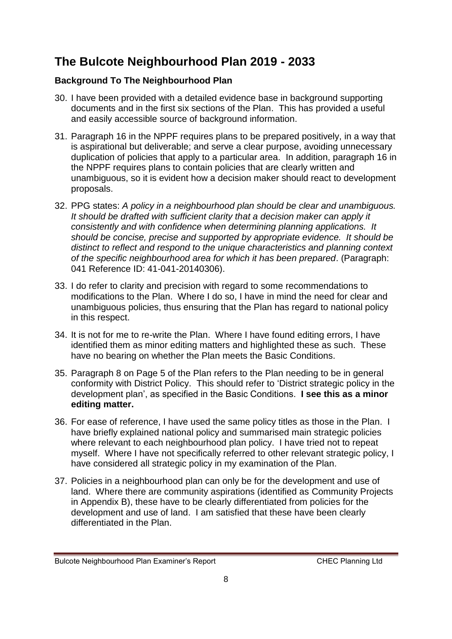# **The Bulcote Neighbourhood Plan 2019 - 2033**

#### **Background To The Neighbourhood Plan**

- 30. I have been provided with a detailed evidence base in background supporting documents and in the first six sections of the Plan. This has provided a useful and easily accessible source of background information.
- 31. Paragraph 16 in the NPPF requires plans to be prepared positively, in a way that is aspirational but deliverable; and serve a clear purpose, avoiding unnecessary duplication of policies that apply to a particular area. In addition, paragraph 16 in the NPPF requires plans to contain policies that are clearly written and unambiguous, so it is evident how a decision maker should react to development proposals.
- 32. PPG states: *A policy in a neighbourhood plan should be clear and unambiguous. It should be drafted with sufficient clarity that a decision maker can apply it consistently and with confidence when determining planning applications. It should be concise, precise and supported by appropriate evidence. It should be distinct to reflect and respond to the unique characteristics and planning context of the specific neighbourhood area for which it has been prepared*. (Paragraph: 041 Reference ID: 41-041-20140306).
- 33. I do refer to clarity and precision with regard to some recommendations to modifications to the Plan. Where I do so, I have in mind the need for clear and unambiguous policies, thus ensuring that the Plan has regard to national policy in this respect.
- 34. It is not for me to re-write the Plan. Where I have found editing errors, I have identified them as minor editing matters and highlighted these as such. These have no bearing on whether the Plan meets the Basic Conditions.
- 35. Paragraph 8 on Page 5 of the Plan refers to the Plan needing to be in general conformity with District Policy. This should refer to 'District strategic policy in the development plan', as specified in the Basic Conditions. **I see this as a minor editing matter.**
- 36. For ease of reference, I have used the same policy titles as those in the Plan. I have briefly explained national policy and summarised main strategic policies where relevant to each neighbourhood plan policy. I have tried not to repeat myself. Where I have not specifically referred to other relevant strategic policy, I have considered all strategic policy in my examination of the Plan.
- 37. Policies in a neighbourhood plan can only be for the development and use of land. Where there are community aspirations (identified as Community Projects in Appendix B), these have to be clearly differentiated from policies for the development and use of land. I am satisfied that these have been clearly differentiated in the Plan.

Bulcote Neighbourhood Plan Examiner's Report CHEC Planning Ltd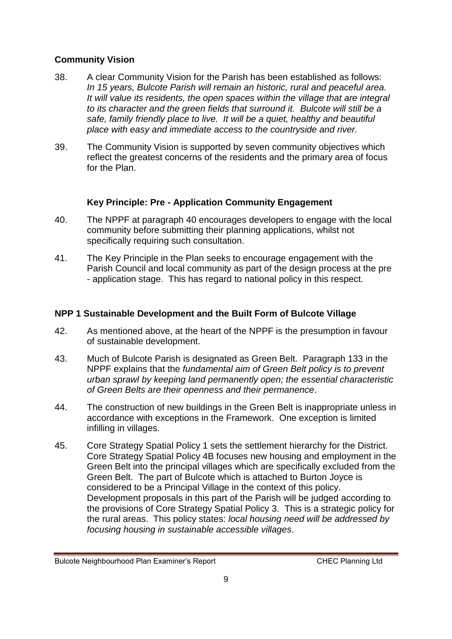#### **Community Vision**

- 38. A clear Community Vision for the Parish has been established as follows: *In 15 years, Bulcote Parish will remain an historic, rural and peaceful area. It will value its residents, the open spaces within the village that are integral to its character and the green fields that surround it. Bulcote will still be a safe, family friendly place to live. It will be a quiet, healthy and beautiful place with easy and immediate access to the countryside and river.*
- 39. The Community Vision is supported by seven community objectives which reflect the greatest concerns of the residents and the primary area of focus for the Plan.

#### **Key Principle: Pre - Application Community Engagement**

- 40. The NPPF at paragraph 40 encourages developers to engage with the local community before submitting their planning applications, whilst not specifically requiring such consultation.
- 41. The Key Principle in the Plan seeks to encourage engagement with the Parish Council and local community as part of the design process at the pre - application stage. This has regard to national policy in this respect.

#### **NPP 1 Sustainable Development and the Built Form of Bulcote Village**

- 42. As mentioned above, at the heart of the NPPF is the presumption in favour of sustainable development.
- 43. Much of Bulcote Parish is designated as Green Belt. Paragraph 133 in the NPPF explains that the *fundamental aim of Green Belt policy is to prevent urban sprawl by keeping land permanently open; the essential characteristic of Green Belts are their openness and their permanence*.
- 44. The construction of new buildings in the Green Belt is inappropriate unless in accordance with exceptions in the Framework. One exception is limited infilling in villages.
- 45. Core Strategy Spatial Policy 1 sets the settlement hierarchy for the District. Core Strategy Spatial Policy 4B focuses new housing and employment in the Green Belt into the principal villages which are specifically excluded from the Green Belt. The part of Bulcote which is attached to Burton Joyce is considered to be a Principal Village in the context of this policy. Development proposals in this part of the Parish will be judged according to the provisions of Core Strategy Spatial Policy 3. This is a strategic policy for the rural areas. This policy states: *local housing need will be addressed by focusing housing in sustainable accessible villages*.

Bulcote Neighbourhood Plan Examiner's Report CHEC Planning Ltd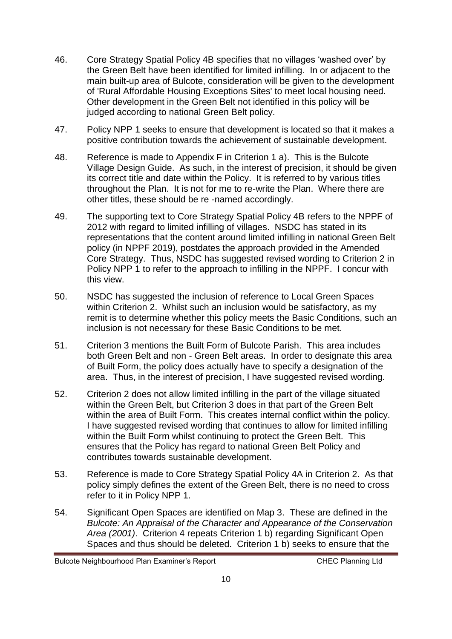- 46. Core Strategy Spatial Policy 4B specifies that no villages 'washed over' by the Green Belt have been identified for limited infilling. In or adjacent to the main built-up area of Bulcote, consideration will be given to the development of 'Rural Affordable Housing Exceptions Sites' to meet local housing need. Other development in the Green Belt not identified in this policy will be judged according to national Green Belt policy.
- 47. Policy NPP 1 seeks to ensure that development is located so that it makes a positive contribution towards the achievement of sustainable development.
- 48. Reference is made to Appendix F in Criterion 1 a). This is the Bulcote Village Design Guide. As such, in the interest of precision, it should be given its correct title and date within the Policy. It is referred to by various titles throughout the Plan. It is not for me to re-write the Plan. Where there are other titles, these should be re -named accordingly.
- 49. The supporting text to Core Strategy Spatial Policy 4B refers to the NPPF of 2012 with regard to limited infilling of villages. NSDC has stated in its representations that the content around limited infilling in national Green Belt policy (in NPPF 2019), postdates the approach provided in the Amended Core Strategy. Thus, NSDC has suggested revised wording to Criterion 2 in Policy NPP 1 to refer to the approach to infilling in the NPPF. I concur with this view.
- 50. NSDC has suggested the inclusion of reference to Local Green Spaces within Criterion 2. Whilst such an inclusion would be satisfactory, as my remit is to determine whether this policy meets the Basic Conditions, such an inclusion is not necessary for these Basic Conditions to be met.
- 51. Criterion 3 mentions the Built Form of Bulcote Parish. This area includes both Green Belt and non - Green Belt areas. In order to designate this area of Built Form, the policy does actually have to specify a designation of the area. Thus, in the interest of precision, I have suggested revised wording.
- 52. Criterion 2 does not allow limited infilling in the part of the village situated within the Green Belt, but Criterion 3 does in that part of the Green Belt within the area of Built Form. This creates internal conflict within the policy. I have suggested revised wording that continues to allow for limited infilling within the Built Form whilst continuing to protect the Green Belt. This ensures that the Policy has regard to national Green Belt Policy and contributes towards sustainable development.
- 53. Reference is made to Core Strategy Spatial Policy 4A in Criterion 2. As that policy simply defines the extent of the Green Belt, there is no need to cross refer to it in Policy NPP 1.
- 54. Significant Open Spaces are identified on Map 3. These are defined in the *Bulcote: An Appraisal of the Character and Appearance of the Conservation Area (2001)*. Criterion 4 repeats Criterion 1 b) regarding Significant Open Spaces and thus should be deleted. Criterion 1 b) seeks to ensure that the

Bulcote Neighbourhood Plan Examiner's Report CHEC Planning Ltd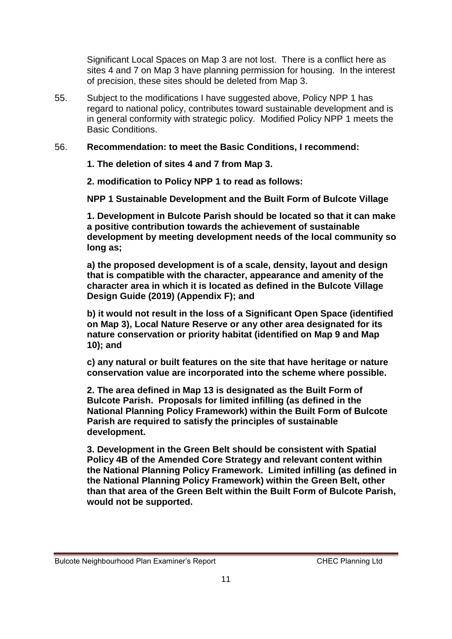Significant Local Spaces on Map 3 are not lost. There is a conflict here as sites 4 and 7 on Map 3 have planning permission for housing. In the interest of precision, these sites should be deleted from Map 3.

55. Subject to the modifications I have suggested above, Policy NPP 1 has regard to national policy, contributes toward sustainable development and is in general conformity with strategic policy. Modified Policy NPP 1 meets the Basic Conditions.

#### 56. **Recommendation: to meet the Basic Conditions, I recommend:**

**1. The deletion of sites 4 and 7 from Map 3.**

**2. modification to Policy NPP 1 to read as follows:**

**NPP 1 Sustainable Development and the Built Form of Bulcote Village**

**1. Development in Bulcote Parish should be located so that it can make a positive contribution towards the achievement of sustainable development by meeting development needs of the local community so long as;**

**a) the proposed development is of a scale, density, layout and design that is compatible with the character, appearance and amenity of the character area in which it is located as defined in the Bulcote Village Design Guide (2019) (Appendix F); and**

**b) it would not result in the loss of a Significant Open Space (identified on Map 3), Local Nature Reserve or any other area designated for its nature conservation or priority habitat (identified on Map 9 and Map 10); and**

**c) any natural or built features on the site that have heritage or nature conservation value are incorporated into the scheme where possible.**

**2. The area defined in Map 13 is designated as the Built Form of Bulcote Parish. Proposals for limited infilling (as defined in the National Planning Policy Framework) within the Built Form of Bulcote Parish are required to satisfy the principles of sustainable development.**

**3. Development in the Green Belt should be consistent with Spatial Policy 4B of the Amended Core Strategy and relevant content within the National Planning Policy Framework. Limited infilling (as defined in the National Planning Policy Framework) within the Green Belt, other than that area of the Green Belt within the Built Form of Bulcote Parish, would not be supported.**

Bulcote Neighbourhood Plan Examiner's Report CHEC Planning Ltd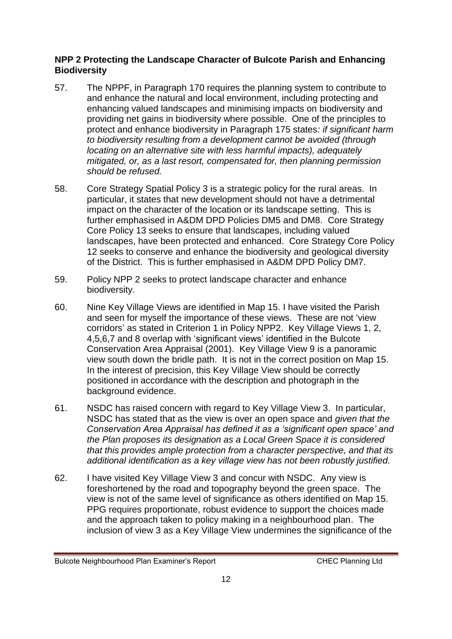#### **NPP 2 Protecting the Landscape Character of Bulcote Parish and Enhancing Biodiversity**

- 57. The NPPF, in Paragraph 170 requires the planning system to contribute to and enhance the natural and local environment, including protecting and enhancing valued landscapes and minimising impacts on biodiversity and providing net gains in biodiversity where possible. One of the principles to protect and enhance biodiversity in Paragraph 175 states*: if significant harm to biodiversity resulting from a development cannot be avoided (through locating on an alternative site with less harmful impacts), adequately mitigated, or, as a last resort, compensated for, then planning permission should be refused.*
- 58. Core Strategy Spatial Policy 3 is a strategic policy for the rural areas. In particular, it states that new development should not have a detrimental impact on the character of the location or its landscape setting. This is further emphasised in A&DM DPD Policies DM5 and DM8. Core Strategy Core Policy 13 seeks to ensure that landscapes, including valued landscapes, have been protected and enhanced. Core Strategy Core Policy 12 seeks to conserve and enhance the biodiversity and geological diversity of the District. This is further emphasised in A&DM DPD Policy DM7.
- 59. Policy NPP 2 seeks to protect landscape character and enhance biodiversity.
- 60. Nine Key Village Views are identified in Map 15. I have visited the Parish and seen for myself the importance of these views. These are not 'view corridors' as stated in Criterion 1 in Policy NPP2. Key Village Views 1, 2, 4,5,6,7 and 8 overlap with 'significant views' identified in the Bulcote Conservation Area Appraisal (2001). Key Village View 9 is a panoramic view south down the bridle path. It is not in the correct position on Map 15. In the interest of precision, this Key Village View should be correctly positioned in accordance with the description and photograph in the background evidence.
- 61. NSDC has raised concern with regard to Key Village View 3. In particular, NSDC has stated that as the view is over an open space and *given that the Conservation Area Appraisal has defined it as a 'significant open space' and the Plan proposes its designation as a Local Green Space it is considered that this provides ample protection from a character perspective, and that its additional identification as a key village view has not been robustly justified.*
- 62. I have visited Key Village View 3 and concur with NSDC. Any view is foreshortened by the road and topography beyond the green space. The view is not of the same level of significance as others identified on Map 15. PPG requires proportionate, robust evidence to support the choices made and the approach taken to policy making in a neighbourhood plan. The inclusion of view 3 as a Key Village View undermines the significance of the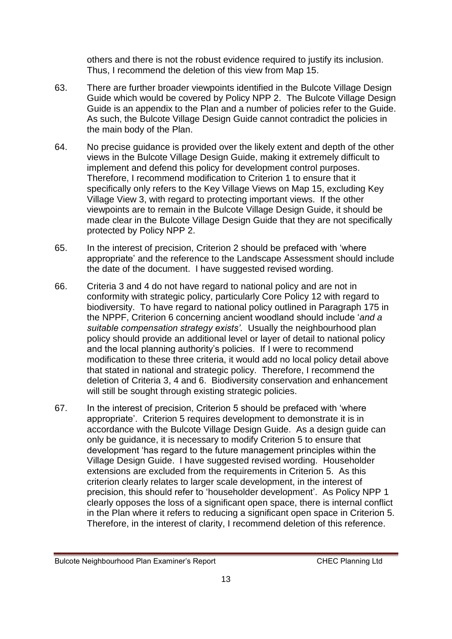others and there is not the robust evidence required to justify its inclusion. Thus, I recommend the deletion of this view from Map 15.

- 63. There are further broader viewpoints identified in the Bulcote Village Design Guide which would be covered by Policy NPP 2. The Bulcote Village Design Guide is an appendix to the Plan and a number of policies refer to the Guide. As such, the Bulcote Village Design Guide cannot contradict the policies in the main body of the Plan.
- 64. No precise guidance is provided over the likely extent and depth of the other views in the Bulcote Village Design Guide, making it extremely difficult to implement and defend this policy for development control purposes. Therefore, I recommend modification to Criterion 1 to ensure that it specifically only refers to the Key Village Views on Map 15, excluding Key Village View 3, with regard to protecting important views. If the other viewpoints are to remain in the Bulcote Village Design Guide, it should be made clear in the Bulcote Village Design Guide that they are not specifically protected by Policy NPP 2.
- 65. In the interest of precision, Criterion 2 should be prefaced with 'where appropriate' and the reference to the Landscape Assessment should include the date of the document. I have suggested revised wording.
- 66. Criteria 3 and 4 do not have regard to national policy and are not in conformity with strategic policy, particularly Core Policy 12 with regard to biodiversity. To have regard to national policy outlined in Paragraph 175 in the NPPF, Criterion 6 concerning ancient woodland should include '*and a suitable compensation strategy exists'.* Usually the neighbourhood plan policy should provide an additional level or layer of detail to national policy and the local planning authority's policies. If I were to recommend modification to these three criteria, it would add no local policy detail above that stated in national and strategic policy. Therefore, I recommend the deletion of Criteria 3, 4 and 6. Biodiversity conservation and enhancement will still be sought through existing strategic policies.
- 67. In the interest of precision, Criterion 5 should be prefaced with 'where appropriate'. Criterion 5 requires development to demonstrate it is in accordance with the Bulcote Village Design Guide. As a design guide can only be guidance, it is necessary to modify Criterion 5 to ensure that development 'has regard to the future management principles within the Village Design Guide. I have suggested revised wording. Householder extensions are excluded from the requirements in Criterion 5. As this criterion clearly relates to larger scale development, in the interest of precision, this should refer to 'householder development'. As Policy NPP 1 clearly opposes the loss of a significant open space, there is internal conflict in the Plan where it refers to reducing a significant open space in Criterion 5. Therefore, in the interest of clarity, I recommend deletion of this reference.

Bulcote Neighbourhood Plan Examiner's Report CHEC Planning Ltd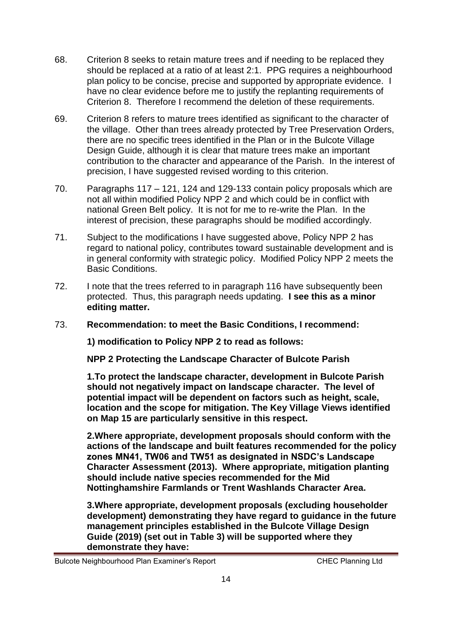- 68. Criterion 8 seeks to retain mature trees and if needing to be replaced they should be replaced at a ratio of at least 2:1. PPG requires a neighbourhood plan policy to be concise, precise and supported by appropriate evidence. I have no clear evidence before me to justify the replanting requirements of Criterion 8. Therefore I recommend the deletion of these requirements.
- 69. Criterion 8 refers to mature trees identified as significant to the character of the village. Other than trees already protected by Tree Preservation Orders, there are no specific trees identified in the Plan or in the Bulcote Village Design Guide, although it is clear that mature trees make an important contribution to the character and appearance of the Parish. In the interest of precision, I have suggested revised wording to this criterion.
- 70. Paragraphs 117 121, 124 and 129-133 contain policy proposals which are not all within modified Policy NPP 2 and which could be in conflict with national Green Belt policy. It is not for me to re-write the Plan. In the interest of precision, these paragraphs should be modified accordingly.
- 71. Subject to the modifications I have suggested above, Policy NPP 2 has regard to national policy, contributes toward sustainable development and is in general conformity with strategic policy. Modified Policy NPP 2 meets the Basic Conditions.
- 72. I note that the trees referred to in paragraph 116 have subsequently been protected. Thus, this paragraph needs updating. **I see this as a minor editing matter.**
- 73. **Recommendation: to meet the Basic Conditions, I recommend:**

**1) modification to Policy NPP 2 to read as follows:** 

**NPP 2 Protecting the Landscape Character of Bulcote Parish**

**1.To protect the landscape character, development in Bulcote Parish should not negatively impact on landscape character. The level of potential impact will be dependent on factors such as height, scale, location and the scope for mitigation. The Key Village Views identified on Map 15 are particularly sensitive in this respect.**

**2.Where appropriate, development proposals should conform with the actions of the landscape and built features recommended for the policy zones MN41, TW06 and TW51 as designated in NSDC's Landscape Character Assessment (2013). Where appropriate, mitigation planting should include native species recommended for the Mid Nottinghamshire Farmlands or Trent Washlands Character Area.**

**3.Where appropriate, development proposals (excluding householder development) demonstrating they have regard to guidance in the future management principles established in the Bulcote Village Design Guide (2019) (set out in Table 3) will be supported where they demonstrate they have:**

Bulcote Neighbourhood Plan Examiner's Report CHEC Planning Ltd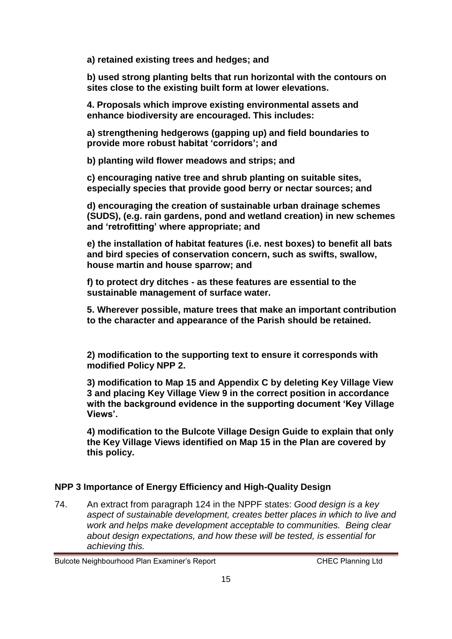**a) retained existing trees and hedges; and**

**b) used strong planting belts that run horizontal with the contours on sites close to the existing built form at lower elevations.**

**4. Proposals which improve existing environmental assets and enhance biodiversity are encouraged. This includes:**

**a) strengthening hedgerows (gapping up) and field boundaries to provide more robust habitat 'corridors'; and**

**b) planting wild flower meadows and strips; and**

**c) encouraging native tree and shrub planting on suitable sites, especially species that provide good berry or nectar sources; and**

**d) encouraging the creation of sustainable urban drainage schemes (SUDS), (e.g. rain gardens, pond and wetland creation) in new schemes and 'retrofitting' where appropriate; and**

**e) the installation of habitat features (i.e. nest boxes) to benefit all bats and bird species of conservation concern, such as swifts, swallow, house martin and house sparrow; and**

**f) to protect dry ditches - as these features are essential to the sustainable management of surface water.**

**5. Wherever possible, mature trees that make an important contribution to the character and appearance of the Parish should be retained.**

**2) modification to the supporting text to ensure it corresponds with modified Policy NPP 2.**

**3) modification to Map 15 and Appendix C by deleting Key Village View 3 and placing Key Village View 9 in the correct position in accordance with the background evidence in the supporting document 'Key Village Views'.**

**4) modification to the Bulcote Village Design Guide to explain that only the Key Village Views identified on Map 15 in the Plan are covered by this policy.**

#### **NPP 3 Importance of Energy Efficiency and High-Quality Design**

74. An extract from paragraph 124 in the NPPF states: *Good design is a key aspect of sustainable development, creates better places in which to live and work and helps make development acceptable to communities. Being clear about design expectations, and how these will be tested, is essential for achieving this.* 

Bulcote Neighbourhood Plan Examiner's Report CHEC Planning Ltd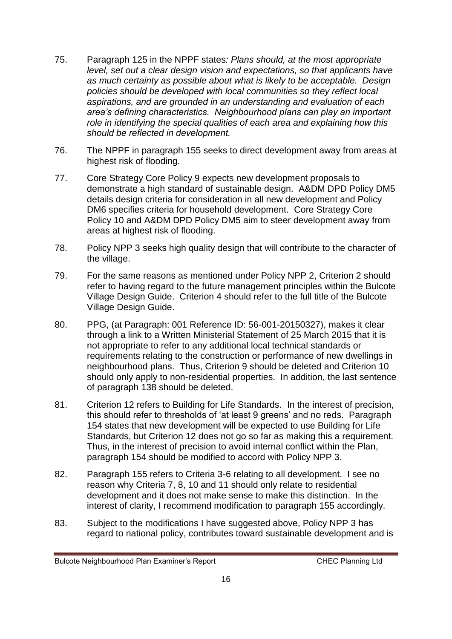- 75. Paragraph 125 in the NPPF states*: Plans should, at the most appropriate level, set out a clear design vision and expectations, so that applicants have as much certainty as possible about what is likely to be acceptable. Design policies should be developed with local communities so they reflect local aspirations, and are grounded in an understanding and evaluation of each area's defining characteristics. Neighbourhood plans can play an important role in identifying the special qualities of each area and explaining how this should be reflected in development.*
- 76. The NPPF in paragraph 155 seeks to direct development away from areas at highest risk of flooding.
- 77. Core Strategy Core Policy 9 expects new development proposals to demonstrate a high standard of sustainable design. A&DM DPD Policy DM5 details design criteria for consideration in all new development and Policy DM6 specifies criteria for household development. Core Strategy Core Policy 10 and A&DM DPD Policy DM5 aim to steer development away from areas at highest risk of flooding.
- 78. Policy NPP 3 seeks high quality design that will contribute to the character of the village.
- 79. For the same reasons as mentioned under Policy NPP 2, Criterion 2 should refer to having regard to the future management principles within the Bulcote Village Design Guide. Criterion 4 should refer to the full title of the Bulcote Village Design Guide.
- 80. PPG, (at Paragraph: 001 Reference ID: 56-001-20150327), makes it clear through a link to a Written Ministerial Statement of 25 March 2015 that it is not appropriate to refer to any additional local technical standards or requirements relating to the construction or performance of new dwellings in neighbourhood plans. Thus, Criterion 9 should be deleted and Criterion 10 should only apply to non-residential properties. In addition, the last sentence of paragraph 138 should be deleted.
- 81. Criterion 12 refers to Building for Life Standards. In the interest of precision, this should refer to thresholds of 'at least 9 greens' and no reds. Paragraph 154 states that new development will be expected to use Building for Life Standards, but Criterion 12 does not go so far as making this a requirement. Thus, in the interest of precision to avoid internal conflict within the Plan, paragraph 154 should be modified to accord with Policy NPP 3.
- 82. Paragraph 155 refers to Criteria 3-6 relating to all development. I see no reason why Criteria 7, 8, 10 and 11 should only relate to residential development and it does not make sense to make this distinction. In the interest of clarity, I recommend modification to paragraph 155 accordingly.
- 83. Subject to the modifications I have suggested above, Policy NPP 3 has regard to national policy, contributes toward sustainable development and is

Bulcote Neighbourhood Plan Examiner's Report CHEC Planning Ltd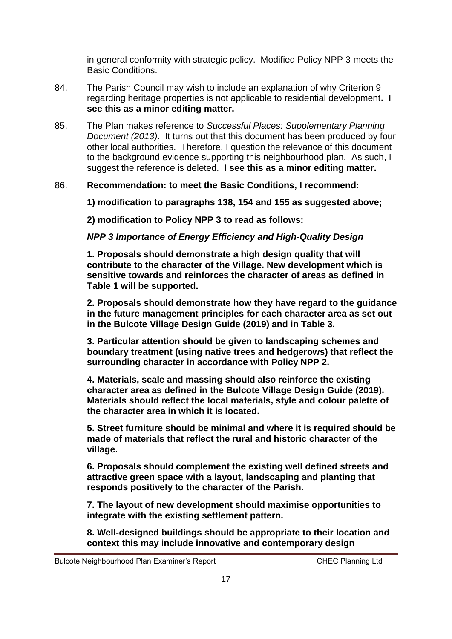in general conformity with strategic policy. Modified Policy NPP 3 meets the Basic Conditions.

- 84. The Parish Council may wish to include an explanation of why Criterion 9 regarding heritage properties is not applicable to residential development**. I see this as a minor editing matter.**
- 85. The Plan makes reference to *Successful Places: Supplementary Planning Document (2013)*. It turns out that this document has been produced by four other local authorities. Therefore, I question the relevance of this document to the background evidence supporting this neighbourhood plan. As such, I suggest the reference is deleted. **I see this as a minor editing matter.**

#### 86. **Recommendation: to meet the Basic Conditions, I recommend:**

**1) modification to paragraphs 138, 154 and 155 as suggested above;** 

**2) modification to Policy NPP 3 to read as follows:**

*NPP 3 Importance of Energy Efficiency and High-Quality Design*

**1. Proposals should demonstrate a high design quality that will contribute to the character of the Village. New development which is sensitive towards and reinforces the character of areas as defined in Table 1 will be supported.**

**2. Proposals should demonstrate how they have regard to the guidance in the future management principles for each character area as set out in the Bulcote Village Design Guide (2019) and in Table 3.**

**3. Particular attention should be given to landscaping schemes and boundary treatment (using native trees and hedgerows) that reflect the surrounding character in accordance with Policy NPP 2.**

**4. Materials, scale and massing should also reinforce the existing character area as defined in the Bulcote Village Design Guide (2019). Materials should reflect the local materials, style and colour palette of the character area in which it is located.**

**5. Street furniture should be minimal and where it is required should be made of materials that reflect the rural and historic character of the village.**

**6. Proposals should complement the existing well defined streets and attractive green space with a layout, landscaping and planting that responds positively to the character of the Parish.**

**7. The layout of new development should maximise opportunities to integrate with the existing settlement pattern.**

**8. Well-designed buildings should be appropriate to their location and context this may include innovative and contemporary design** 

Bulcote Neighbourhood Plan Examiner's Report CHEC Planning Ltd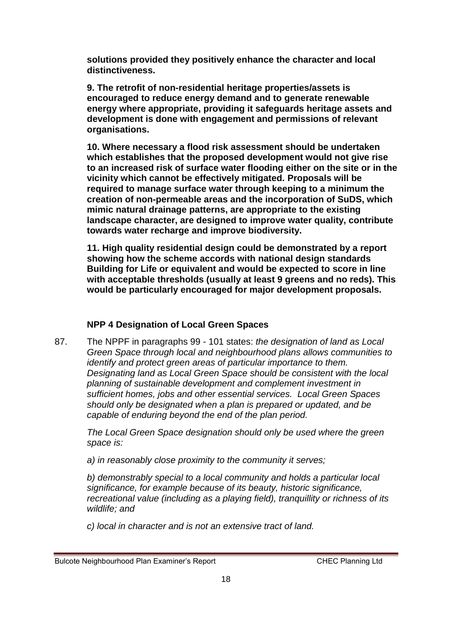**solutions provided they positively enhance the character and local distinctiveness.**

**9. The retrofit of non-residential heritage properties/assets is encouraged to reduce energy demand and to generate renewable energy where appropriate, providing it safeguards heritage assets and development is done with engagement and permissions of relevant organisations.**

**10. Where necessary a flood risk assessment should be undertaken which establishes that the proposed development would not give rise to an increased risk of surface water flooding either on the site or in the vicinity which cannot be effectively mitigated. Proposals will be required to manage surface water through keeping to a minimum the creation of non-permeable areas and the incorporation of SuDS, which mimic natural drainage patterns, are appropriate to the existing landscape character, are designed to improve water quality, contribute towards water recharge and improve biodiversity.**

**11. High quality residential design could be demonstrated by a report showing how the scheme accords with national design standards Building for Life or equivalent and would be expected to score in line with acceptable thresholds (usually at least 9 greens and no reds). This would be particularly encouraged for major development proposals.**

#### **NPP 4 Designation of Local Green Spaces**

87. The NPPF in paragraphs 99 - 101 states: *the designation of land as Local Green Space through local and neighbourhood plans allows communities to identify and protect green areas of particular importance to them. Designating land as Local Green Space should be consistent with the local planning of sustainable development and complement investment in sufficient homes, jobs and other essential services. Local Green Spaces should only be designated when a plan is prepared or updated, and be capable of enduring beyond the end of the plan period.*

*The Local Green Space designation should only be used where the green space is:*

*a) in reasonably close proximity to the community it serves;*

*b) demonstrably special to a local community and holds a particular local significance, for example because of its beauty, historic significance, recreational value (including as a playing field), tranquillity or richness of its wildlife; and*

*c) local in character and is not an extensive tract of land.*

Bulcote Neighbourhood Plan Examiner's Report CHEC Planning Ltd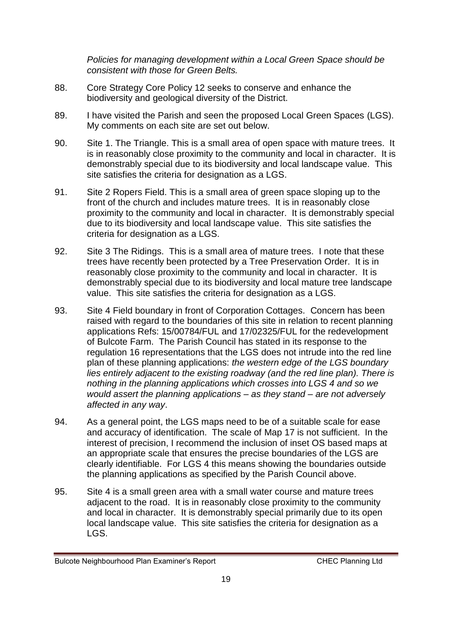*Policies for managing development within a Local Green Space should be consistent with those for Green Belts.*

- 88. Core Strategy Core Policy 12 seeks to conserve and enhance the biodiversity and geological diversity of the District.
- 89. I have visited the Parish and seen the proposed Local Green Spaces (LGS). My comments on each site are set out below.
- 90. Site 1. The Triangle. This is a small area of open space with mature trees. It is in reasonably close proximity to the community and local in character. It is demonstrably special due to its biodiversity and local landscape value. This site satisfies the criteria for designation as a LGS.
- 91. Site 2 Ropers Field. This is a small area of green space sloping up to the front of the church and includes mature trees. It is in reasonably close proximity to the community and local in character. It is demonstrably special due to its biodiversity and local landscape value. This site satisfies the criteria for designation as a LGS.
- 92. Site 3 The Ridings. This is a small area of mature trees. I note that these trees have recently been protected by a Tree Preservation Order. It is in reasonably close proximity to the community and local in character. It is demonstrably special due to its biodiversity and local mature tree landscape value. This site satisfies the criteria for designation as a LGS.
- 93. Site 4 Field boundary in front of Corporation Cottages. Concern has been raised with regard to the boundaries of this site in relation to recent planning applications Refs: 15/00784/FUL and 17/02325/FUL for the redevelopment of Bulcote Farm. The Parish Council has stated in its response to the regulation 16 representations that the LGS does not intrude into the red line plan of these planning applications: *the western edge of the LGS boundary lies entirely adjacent to the existing roadway (and the red line plan). There is nothing in the planning applications which crosses into LGS 4 and so we would assert the planning applications – as they stand – are not adversely affected in any way*.
- 94. As a general point, the LGS maps need to be of a suitable scale for ease and accuracy of identification. The scale of Map 17 is not sufficient. In the interest of precision, I recommend the inclusion of inset OS based maps at an appropriate scale that ensures the precise boundaries of the LGS are clearly identifiable. For LGS 4 this means showing the boundaries outside the planning applications as specified by the Parish Council above.
- 95. Site 4 is a small green area with a small water course and mature trees adjacent to the road. It is in reasonably close proximity to the community and local in character. It is demonstrably special primarily due to its open local landscape value. This site satisfies the criteria for designation as a LGS.

Bulcote Neighbourhood Plan Examiner's Report CHEC Planning Ltd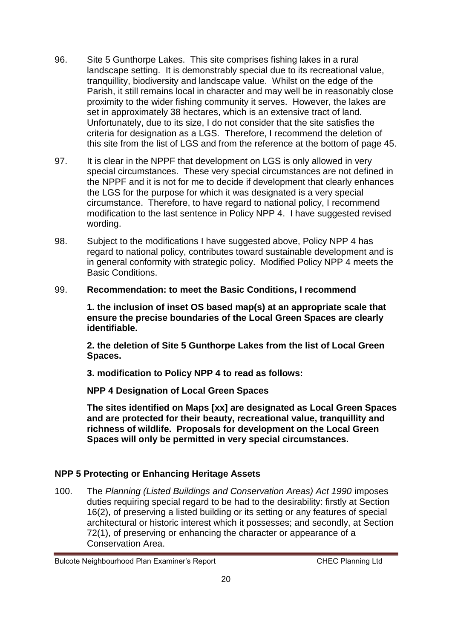- 96. Site 5 Gunthorpe Lakes. This site comprises fishing lakes in a rural landscape setting. It is demonstrably special due to its recreational value, tranquillity, biodiversity and landscape value. Whilst on the edge of the Parish, it still remains local in character and may well be in reasonably close proximity to the wider fishing community it serves. However, the lakes are set in approximately 38 hectares, which is an extensive tract of land. Unfortunately, due to its size, I do not consider that the site satisfies the criteria for designation as a LGS. Therefore, I recommend the deletion of this site from the list of LGS and from the reference at the bottom of page 45.
- 97. It is clear in the NPPF that development on LGS is only allowed in very special circumstances. These very special circumstances are not defined in the NPPF and it is not for me to decide if development that clearly enhances the LGS for the purpose for which it was designated is a very special circumstance. Therefore, to have regard to national policy, I recommend modification to the last sentence in Policy NPP 4. I have suggested revised wording.
- 98. Subject to the modifications I have suggested above, Policy NPP 4 has regard to national policy, contributes toward sustainable development and is in general conformity with strategic policy. Modified Policy NPP 4 meets the Basic Conditions.
- 99. **Recommendation: to meet the Basic Conditions, I recommend**

**1. the inclusion of inset OS based map(s) at an appropriate scale that ensure the precise boundaries of the Local Green Spaces are clearly identifiable.**

**2. the deletion of Site 5 Gunthorpe Lakes from the list of Local Green Spaces.**

**3. modification to Policy NPP 4 to read as follows:**

**NPP 4 Designation of Local Green Spaces**

**The sites identified on Maps [xx] are designated as Local Green Spaces and are protected for their beauty, recreational value, tranquillity and richness of wildlife. Proposals for development on the Local Green Spaces will only be permitted in very special circumstances.**

#### **NPP 5 Protecting or Enhancing Heritage Assets**

100. The *Planning (Listed Buildings and Conservation Areas) Act 1990* imposes duties requiring special regard to be had to the desirability: firstly at Section 16(2), of preserving a listed building or its setting or any features of special architectural or historic interest which it possesses; and secondly, at Section 72(1), of preserving or enhancing the character or appearance of a Conservation Area.

Bulcote Neighbourhood Plan Examiner's Report CHEC Planning Ltd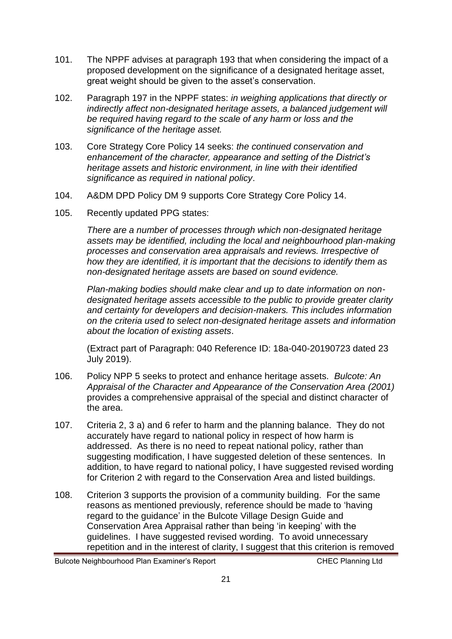- 101. The NPPF advises at paragraph 193 that when considering the impact of a proposed development on the significance of a designated heritage asset, great weight should be given to the asset's conservation.
- 102. Paragraph 197 in the NPPF states: *in weighing applications that directly or indirectly affect non-designated heritage assets, a balanced judgement will be required having regard to the scale of any harm or loss and the significance of the heritage asset.*
- 103. Core Strategy Core Policy 14 seeks: *the continued conservation and enhancement of the character, appearance and setting of the District's heritage assets and historic environment, in line with their identified significance as required in national policy*.
- 104. A&DM DPD Policy DM 9 supports Core Strategy Core Policy 14.
- 105. Recently updated PPG states:

*There are a number of processes through which non-designated heritage assets may be identified, including the local and neighbourhood plan-making processes and conservation area appraisals and reviews. Irrespective of how they are identified, it is important that the decisions to identify them as non-designated heritage assets are based on sound evidence.*

*Plan-making bodies should make clear and up to date information on nondesignated heritage assets accessible to the public to provide greater clarity and certainty for developers and decision-makers. This includes information on the criteria used to select non-designated heritage assets and information about the location of existing assets*.

(Extract part of Paragraph: 040 Reference ID: 18a-040-20190723 dated 23 July 2019).

- 106. Policy NPP 5 seeks to protect and enhance heritage assets. *Bulcote: An Appraisal of the Character and Appearance of the Conservation Area (2001)* provides a comprehensive appraisal of the special and distinct character of the area.
- 107. Criteria 2, 3 a) and 6 refer to harm and the planning balance. They do not accurately have regard to national policy in respect of how harm is addressed. As there is no need to repeat national policy, rather than suggesting modification, I have suggested deletion of these sentences. In addition, to have regard to national policy, I have suggested revised wording for Criterion 2 with regard to the Conservation Area and listed buildings.
- 108. Criterion 3 supports the provision of a community building. For the same reasons as mentioned previously, reference should be made to 'having regard to the guidance' in the Bulcote Village Design Guide and Conservation Area Appraisal rather than being 'in keeping' with the guidelines. I have suggested revised wording. To avoid unnecessary repetition and in the interest of clarity, I suggest that this criterion is removed

Bulcote Neighbourhood Plan Examiner's Report CHEC Planning Ltd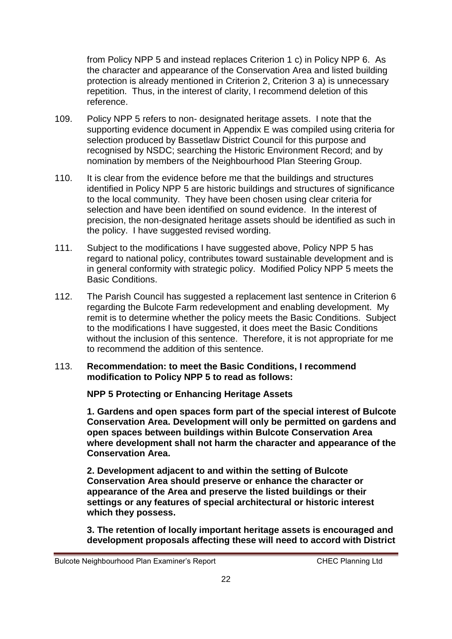from Policy NPP 5 and instead replaces Criterion 1 c) in Policy NPP 6. As the character and appearance of the Conservation Area and listed building protection is already mentioned in Criterion 2, Criterion 3 a) is unnecessary repetition. Thus, in the interest of clarity, I recommend deletion of this reference.

- 109. Policy NPP 5 refers to non- designated heritage assets. I note that the supporting evidence document in Appendix E was compiled using criteria for selection produced by Bassetlaw District Council for this purpose and recognised by NSDC; searching the Historic Environment Record; and by nomination by members of the Neighbourhood Plan Steering Group.
- 110. It is clear from the evidence before me that the buildings and structures identified in Policy NPP 5 are historic buildings and structures of significance to the local community. They have been chosen using clear criteria for selection and have been identified on sound evidence. In the interest of precision, the non-designated heritage assets should be identified as such in the policy. I have suggested revised wording.
- 111. Subject to the modifications I have suggested above, Policy NPP 5 has regard to national policy, contributes toward sustainable development and is in general conformity with strategic policy. Modified Policy NPP 5 meets the Basic Conditions.
- 112. The Parish Council has suggested a replacement last sentence in Criterion 6 regarding the Bulcote Farm redevelopment and enabling development. My remit is to determine whether the policy meets the Basic Conditions. Subject to the modifications I have suggested, it does meet the Basic Conditions without the inclusion of this sentence. Therefore, it is not appropriate for me to recommend the addition of this sentence.
- 113. **Recommendation: to meet the Basic Conditions, I recommend modification to Policy NPP 5 to read as follows:**

#### **NPP 5 Protecting or Enhancing Heritage Assets**

**1. Gardens and open spaces form part of the special interest of Bulcote Conservation Area. Development will only be permitted on gardens and open spaces between buildings within Bulcote Conservation Area where development shall not harm the character and appearance of the Conservation Area.**

**2. Development adjacent to and within the setting of Bulcote Conservation Area should preserve or enhance the character or appearance of the Area and preserve the listed buildings or their settings or any features of special architectural or historic interest which they possess.**

**3. The retention of locally important heritage assets is encouraged and development proposals affecting these will need to accord with District** 

Bulcote Neighbourhood Plan Examiner's Report CHEC Planning Ltd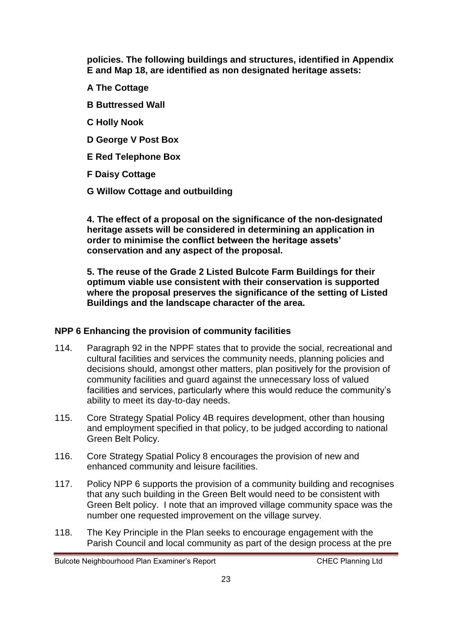**policies. The following buildings and structures, identified in Appendix E and Map 18, are identified as non designated heritage assets:** 

- **A The Cottage**
- **B Buttressed Wall**
- **C Holly Nook**
- **D George V Post Box**
- **E Red Telephone Box**
- **F Daisy Cottage**
- **G Willow Cottage and outbuilding**

**4. The effect of a proposal on the significance of the non-designated heritage assets will be considered in determining an application in order to minimise the conflict between the heritage assets' conservation and any aspect of the proposal.**

**5. The reuse of the Grade 2 Listed Bulcote Farm Buildings for their optimum viable use consistent with their conservation is supported where the proposal preserves the significance of the setting of Listed Buildings and the landscape character of the area.**

#### **NPP 6 Enhancing the provision of community facilities**

- 114. Paragraph 92 in the NPPF states that to provide the social, recreational and cultural facilities and services the community needs, planning policies and decisions should, amongst other matters, plan positively for the provision of community facilities and guard against the unnecessary loss of valued facilities and services, particularly where this would reduce the community's ability to meet its day-to-day needs.
- 115. Core Strategy Spatial Policy 4B requires development, other than housing and employment specified in that policy, to be judged according to national Green Belt Policy.
- 116. Core Strategy Spatial Policy 8 encourages the provision of new and enhanced community and leisure facilities.
- 117. Policy NPP 6 supports the provision of a community building and recognises that any such building in the Green Belt would need to be consistent with Green Belt policy. I note that an improved village community space was the number one requested improvement on the village survey.
- 118. The Key Principle in the Plan seeks to encourage engagement with the Parish Council and local community as part of the design process at the pre

Bulcote Neighbourhood Plan Examiner's Report CHEC Planning Ltd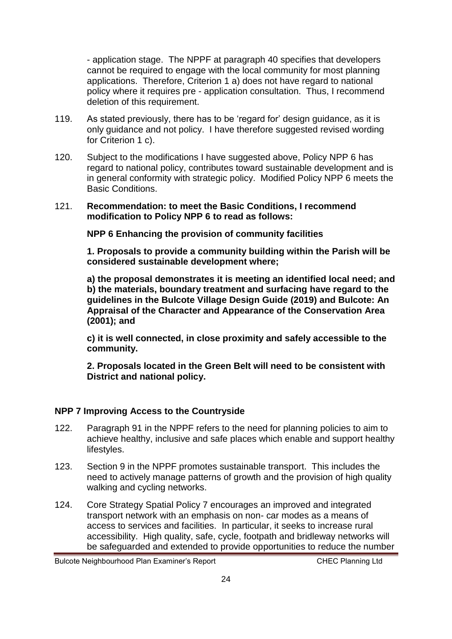- application stage. The NPPF at paragraph 40 specifies that developers cannot be required to engage with the local community for most planning applications. Therefore, Criterion 1 a) does not have regard to national policy where it requires pre - application consultation. Thus, I recommend deletion of this requirement.

- 119. As stated previously, there has to be 'regard for' design guidance, as it is only guidance and not policy. I have therefore suggested revised wording for Criterion 1 c).
- 120. Subject to the modifications I have suggested above, Policy NPP 6 has regard to national policy, contributes toward sustainable development and is in general conformity with strategic policy. Modified Policy NPP 6 meets the Basic Conditions.

#### 121. **Recommendation: to meet the Basic Conditions, I recommend modification to Policy NPP 6 to read as follows:**

**NPP 6 Enhancing the provision of community facilities**

**1. Proposals to provide a community building within the Parish will be considered sustainable development where;**

**a) the proposal demonstrates it is meeting an identified local need; and b) the materials, boundary treatment and surfacing have regard to the guidelines in the Bulcote Village Design Guide (2019) and Bulcote: An Appraisal of the Character and Appearance of the Conservation Area (2001); and**

**c) it is well connected, in close proximity and safely accessible to the community.**

**2. Proposals located in the Green Belt will need to be consistent with District and national policy.**

#### **NPP 7 Improving Access to the Countryside**

- 122. Paragraph 91 in the NPPF refers to the need for planning policies to aim to achieve healthy, inclusive and safe places which enable and support healthy lifestyles.
- 123. Section 9 in the NPPF promotes sustainable transport. This includes the need to actively manage patterns of growth and the provision of high quality walking and cycling networks.
- 124. Core Strategy Spatial Policy 7 encourages an improved and integrated transport network with an emphasis on non- car modes as a means of access to services and facilities. In particular, it seeks to increase rural accessibility. High quality, safe, cycle, footpath and bridleway networks will be safeguarded and extended to provide opportunities to reduce the number

Bulcote Neighbourhood Plan Examiner's Report CHEC Planning Ltd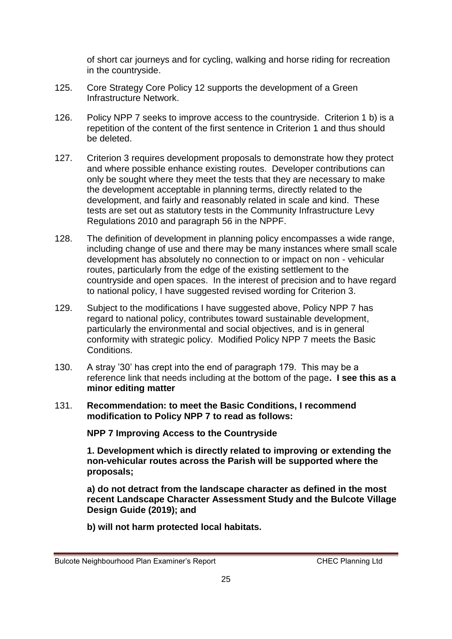of short car journeys and for cycling, walking and horse riding for recreation in the countryside.

- 125. Core Strategy Core Policy 12 supports the development of a Green Infrastructure Network.
- 126. Policy NPP 7 seeks to improve access to the countryside. Criterion 1 b) is a repetition of the content of the first sentence in Criterion 1 and thus should be deleted.
- 127. Criterion 3 requires development proposals to demonstrate how they protect and where possible enhance existing routes. Developer contributions can only be sought where they meet the tests that they are necessary to make the development acceptable in planning terms, directly related to the development, and fairly and reasonably related in scale and kind. These tests are set out as statutory tests in the Community Infrastructure Levy Regulations 2010 and paragraph 56 in the NPPF.
- 128. The definition of development in planning policy encompasses a wide range, including change of use and there may be many instances where small scale development has absolutely no connection to or impact on non - vehicular routes, particularly from the edge of the existing settlement to the countryside and open spaces. In the interest of precision and to have regard to national policy, I have suggested revised wording for Criterion 3.
- 129. Subject to the modifications I have suggested above, Policy NPP 7 has regard to national policy, contributes toward sustainable development, particularly the environmental and social objectives, and is in general conformity with strategic policy. Modified Policy NPP 7 meets the Basic Conditions.
- 130. A stray '30' has crept into the end of paragraph 179. This may be a reference link that needs including at the bottom of the page**. I see this as a minor editing matter**
- 131. **Recommendation: to meet the Basic Conditions, I recommend modification to Policy NPP 7 to read as follows:**

**NPP 7 Improving Access to the Countryside**

**1. Development which is directly related to improving or extending the non-vehicular routes across the Parish will be supported where the proposals;**

**a) do not detract from the landscape character as defined in the most recent Landscape Character Assessment Study and the Bulcote Village Design Guide (2019); and**

**b) will not harm protected local habitats.**

Bulcote Neighbourhood Plan Examiner's Report CHEC Planning Ltd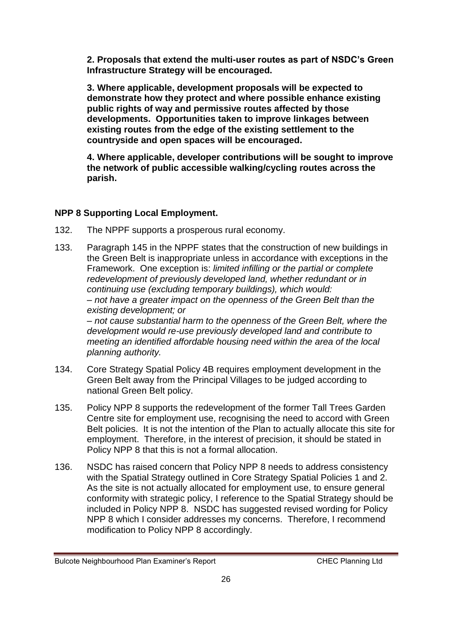**2. Proposals that extend the multi-user routes as part of NSDC's Green Infrastructure Strategy will be encouraged.**

**3. Where applicable, development proposals will be expected to demonstrate how they protect and where possible enhance existing public rights of way and permissive routes affected by those developments. Opportunities taken to improve linkages between existing routes from the edge of the existing settlement to the countryside and open spaces will be encouraged.**

**4. Where applicable, developer contributions will be sought to improve the network of public accessible walking/cycling routes across the parish.**

#### **NPP 8 Supporting Local Employment.**

*planning authority.*

- 132. The NPPF supports a prosperous rural economy.
- 133. Paragraph 145 in the NPPF states that the construction of new buildings in the Green Belt is inappropriate unless in accordance with exceptions in the Framework. One exception is: *limited infilling or the partial or complete redevelopment of previously developed land, whether redundant or in continuing use (excluding temporary buildings), which would: ‒ not have a greater impact on the openness of the Green Belt than the existing development; or ‒ not cause substantial harm to the openness of the Green Belt, where the development would re-use previously developed land and contribute to meeting an identified affordable housing need within the area of the local*
- 134. Core Strategy Spatial Policy 4B requires employment development in the Green Belt away from the Principal Villages to be judged according to national Green Belt policy.
- 135. Policy NPP 8 supports the redevelopment of the former Tall Trees Garden Centre site for employment use, recognising the need to accord with Green Belt policies. It is not the intention of the Plan to actually allocate this site for employment. Therefore, in the interest of precision, it should be stated in Policy NPP 8 that this is not a formal allocation.
- 136. NSDC has raised concern that Policy NPP 8 needs to address consistency with the Spatial Strategy outlined in Core Strategy Spatial Policies 1 and 2. As the site is not actually allocated for employment use, to ensure general conformity with strategic policy, I reference to the Spatial Strategy should be included in Policy NPP 8. NSDC has suggested revised wording for Policy NPP 8 which I consider addresses my concerns. Therefore, I recommend modification to Policy NPP 8 accordingly.

Bulcote Neighbourhood Plan Examiner's Report CHEC Planning Ltd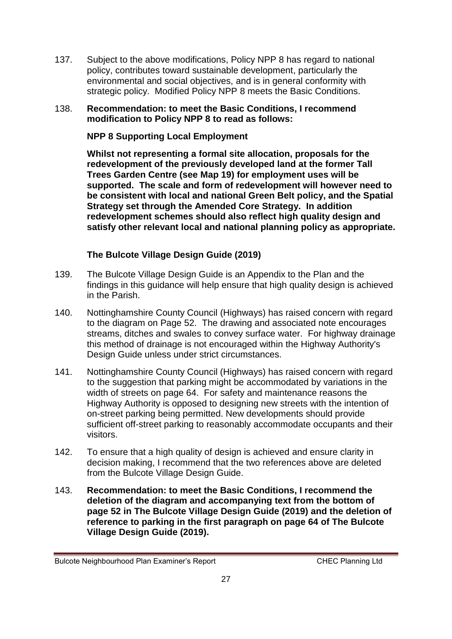137. Subject to the above modifications, Policy NPP 8 has regard to national policy, contributes toward sustainable development, particularly the environmental and social objectives, and is in general conformity with strategic policy. Modified Policy NPP 8 meets the Basic Conditions.

#### 138. **Recommendation: to meet the Basic Conditions, I recommend modification to Policy NPP 8 to read as follows:**

**NPP 8 Supporting Local Employment**

**Whilst not representing a formal site allocation, proposals for the redevelopment of the previously developed land at the former Tall Trees Garden Centre (see Map 19) for employment uses will be supported. The scale and form of redevelopment will however need to be consistent with local and national Green Belt policy, and the Spatial Strategy set through the Amended Core Strategy. In addition redevelopment schemes should also reflect high quality design and satisfy other relevant local and national planning policy as appropriate.**

#### **The Bulcote Village Design Guide (2019)**

- 139. The Bulcote Village Design Guide is an Appendix to the Plan and the findings in this guidance will help ensure that high quality design is achieved in the Parish.
- 140. Nottinghamshire County Council (Highways) has raised concern with regard to the diagram on Page 52. The drawing and associated note encourages streams, ditches and swales to convey surface water. For highway drainage this method of drainage is not encouraged within the Highway Authority's Design Guide unless under strict circumstances.
- 141. Nottinghamshire County Council (Highways) has raised concern with regard to the suggestion that parking might be accommodated by variations in the width of streets on page 64. For safety and maintenance reasons the Highway Authority is opposed to designing new streets with the intention of on-street parking being permitted. New developments should provide sufficient off-street parking to reasonably accommodate occupants and their visitors.
- 142. To ensure that a high quality of design is achieved and ensure clarity in decision making, I recommend that the two references above are deleted from the Bulcote Village Design Guide.
- 143. **Recommendation: to meet the Basic Conditions, I recommend the deletion of the diagram and accompanying text from the bottom of page 52 in The Bulcote Village Design Guide (2019) and the deletion of reference to parking in the first paragraph on page 64 of The Bulcote Village Design Guide (2019).**

Bulcote Neighbourhood Plan Examiner's Report CHEC Planning Ltd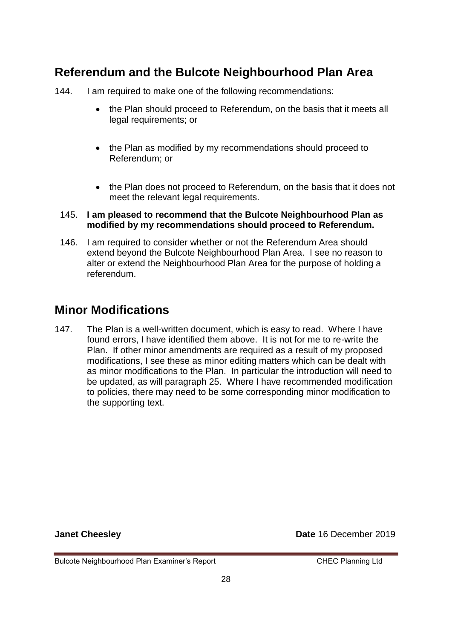### **Referendum and the Bulcote Neighbourhood Plan Area**

144. I am required to make one of the following recommendations:

- the Plan should proceed to Referendum, on the basis that it meets all legal requirements; or
- the Plan as modified by my recommendations should proceed to Referendum; or
- the Plan does not proceed to Referendum, on the basis that it does not meet the relevant legal requirements.

#### 145. **I am pleased to recommend that the Bulcote Neighbourhood Plan as modified by my recommendations should proceed to Referendum.**

146. I am required to consider whether or not the Referendum Area should extend beyond the Bulcote Neighbourhood Plan Area. I see no reason to alter or extend the Neighbourhood Plan Area for the purpose of holding a referendum.

### **Minor Modifications**

147. The Plan is a well-written document, which is easy to read. Where I have found errors, I have identified them above. It is not for me to re-write the Plan. If other minor amendments are required as a result of my proposed modifications, I see these as minor editing matters which can be dealt with as minor modifications to the Plan. In particular the introduction will need to be updated, as will paragraph 25. Where I have recommended modification to policies, there may need to be some corresponding minor modification to the supporting text.

**Janet Cheesley Date 16 December 2019** 

Bulcote Neighbourhood Plan Examiner's Report CHEC Planning Ltd